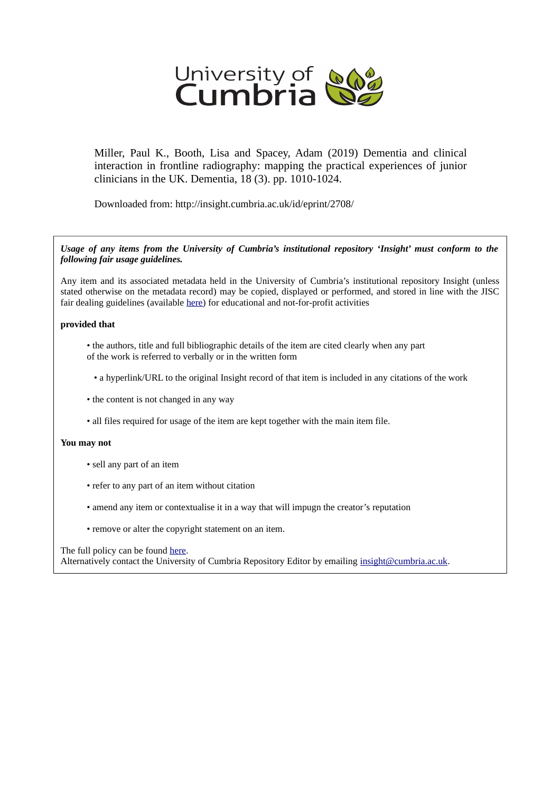

Miller, Paul K., Booth, Lisa and Spacey, Adam (2019) Dementia and clinical interaction in frontline radiography: mapping the practical experiences of junior clinicians in the UK. Dementia, 18 (3). pp. 1010-1024.

Downloaded from: http://insight.cumbria.ac.uk/id/eprint/2708/

*Usage of any items from the University of Cumbria's institutional repository 'Insight' must conform to the following fair usage guidelines.*

Any item and its associated metadata held in the University of Cumbria's institutional repository Insight (unless stated otherwise on the metadata record) may be copied, displayed or performed, and stored in line with the JISC fair dealing guidelines (available [here\)](http://www.ukoln.ac.uk/services/elib/papers/pa/fair/) for educational and not-for-profit activities

#### **provided that**

- the authors, title and full bibliographic details of the item are cited clearly when any part of the work is referred to verbally or in the written form
	- a hyperlink/URL to the original Insight record of that item is included in any citations of the work
- the content is not changed in any way
- all files required for usage of the item are kept together with the main item file.

#### **You may not**

- sell any part of an item
- refer to any part of an item without citation
- amend any item or contextualise it in a way that will impugn the creator's reputation
- remove or alter the copyright statement on an item.

#### The full policy can be found [here.](http://insight.cumbria.ac.uk/legal.html#section5)

Alternatively contact the University of Cumbria Repository Editor by emailing [insight@cumbria.ac.uk.](mailto:insight@cumbria.ac.uk)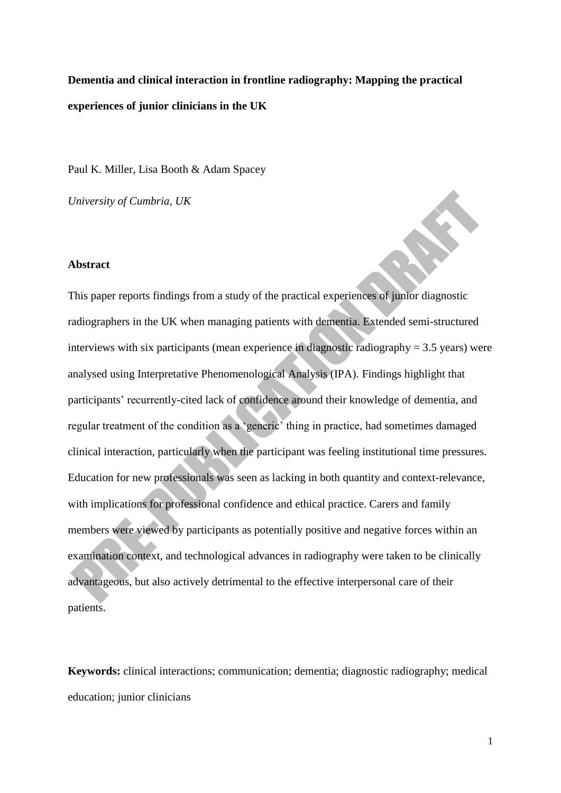**Dementia and clinical interaction in frontline radiography: Mapping the practical experiences of junior clinicians in the UK**

Paul K. Miller, Lisa Booth & Adam Spacey

*University of Cumbria, UK*

### **Abstract**

This paper reports findings from a study of the practical experiences of junior diagnostic radiographers in the UK when managing patients with dementia. Extended semi-structured interviews with six participants (mean experience in diagnostic radiography  $= 3.5$  years) were analysed using Interpretative Phenomenological Analysis (IPA). Findings highlight that participants' recurrently-cited lack of confidence around their knowledge of dementia, and regular treatment of the condition as a 'generic' thing in practice, had sometimes damaged clinical interaction, particularly when the participant was feeling institutional time pressures. Education for new professionals was seen as lacking in both quantity and context-relevance, with implications for professional confidence and ethical practice. Carers and family members were viewed by participants as potentially positive and negative forces within an examination context, and technological advances in radiography were taken to be clinically advantageous, but also actively detrimental to the effective interpersonal care of their patients.

**Keywords:** clinical interactions; communication; dementia; diagnostic radiography; medical education; junior clinicians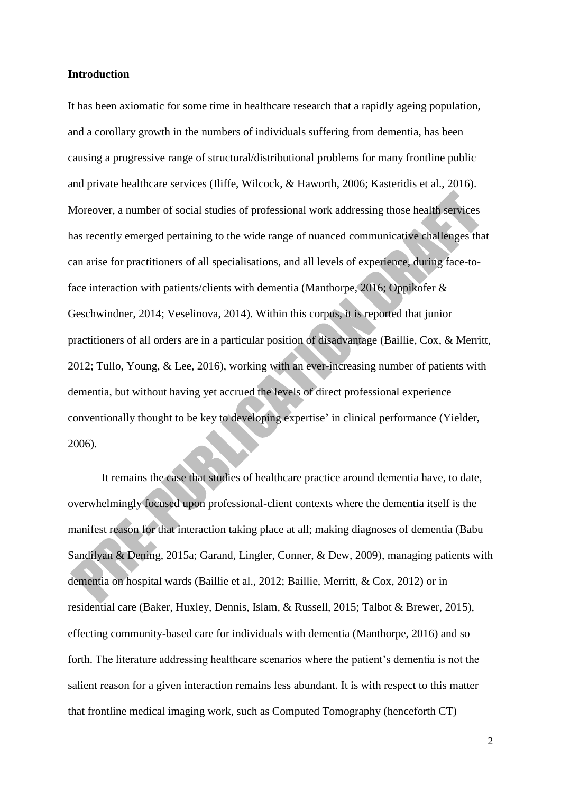### **Introduction**

It has been axiomatic for some time in healthcare research that a rapidly ageing population, and a corollary growth in the numbers of individuals suffering from dementia, has been causing a progressive range of structural/distributional problems for many frontline public and private healthcare services (Iliffe, Wilcock, & Haworth, 2006; Kasteridis et al., 2016). Moreover, a number of social studies of professional work addressing those health services has recently emerged pertaining to the wide range of nuanced communicative challenges that can arise for practitioners of all specialisations, and all levels of experience, during face-toface interaction with patients/clients with dementia (Manthorpe, 2016; Oppikofer & Geschwindner, 2014; Veselinova, 2014). Within this corpus, it is reported that junior practitioners of all orders are in a particular position of disadvantage (Baillie, Cox, & Merritt, 2012; Tullo, Young, & Lee, 2016), working with an ever-increasing number of patients with dementia, but without having yet accrued the levels of direct professional experience conventionally thought to be key to developing expertise' in clinical performance (Yielder, 2006).

It remains the case that studies of healthcare practice around dementia have, to date, overwhelmingly focused upon professional-client contexts where the dementia itself is the manifest reason for that interaction taking place at all; making diagnoses of dementia (Babu Sandilyan & Dening, 2015a; Garand, Lingler, Conner, & Dew, 2009), managing patients with dementia on hospital wards (Baillie et al., 2012; Baillie, Merritt, & Cox, 2012) or in residential care (Baker, Huxley, Dennis, Islam, & Russell, 2015; Talbot & Brewer, 2015), effecting community-based care for individuals with dementia (Manthorpe, 2016) and so forth. The literature addressing healthcare scenarios where the patient's dementia is not the salient reason for a given interaction remains less abundant. It is with respect to this matter that frontline medical imaging work, such as Computed Tomography (henceforth CT)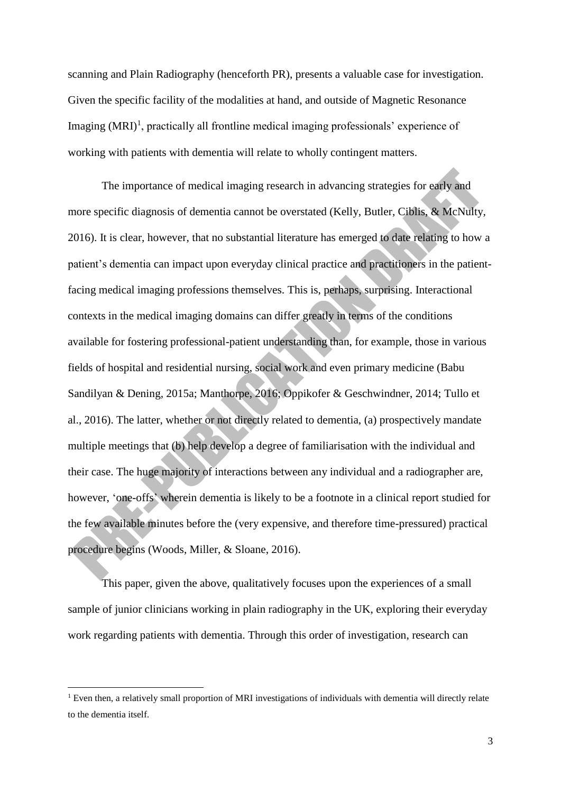scanning and Plain Radiography (henceforth PR), presents a valuable case for investigation. Given the specific facility of the modalities at hand, and outside of Magnetic Resonance Imaging  $(MRI)^1$ , practically all frontline medical imaging professionals' experience of working with patients with dementia will relate to wholly contingent matters.

The importance of medical imaging research in advancing strategies for early and more specific diagnosis of dementia cannot be overstated (Kelly, Butler, Ciblis, & McNulty, 2016). It is clear, however, that no substantial literature has emerged to date relating to how a patient's dementia can impact upon everyday clinical practice and practitioners in the patientfacing medical imaging professions themselves. This is, perhaps, surprising. Interactional contexts in the medical imaging domains can differ greatly in terms of the conditions available for fostering professional-patient understanding than, for example, those in various fields of hospital and residential nursing, social work and even primary medicine (Babu Sandilyan & Dening, 2015a; Manthorpe, 2016; Oppikofer & Geschwindner, 2014; Tullo et al., 2016). The latter, whether or not directly related to dementia, (a) prospectively mandate multiple meetings that (b) help develop a degree of familiarisation with the individual and their case. The huge majority of interactions between any individual and a radiographer are, however, 'one-offs' wherein dementia is likely to be a footnote in a clinical report studied for the few available minutes before the (very expensive, and therefore time-pressured) practical procedure begins (Woods, Miller, & Sloane, 2016).

This paper, given the above, qualitatively focuses upon the experiences of a small sample of junior clinicians working in plain radiography in the UK, exploring their everyday work regarding patients with dementia. Through this order of investigation, research can

<sup>&</sup>lt;sup>1</sup> Even then, a relatively small proportion of MRI investigations of individuals with dementia will directly relate to the dementia itself.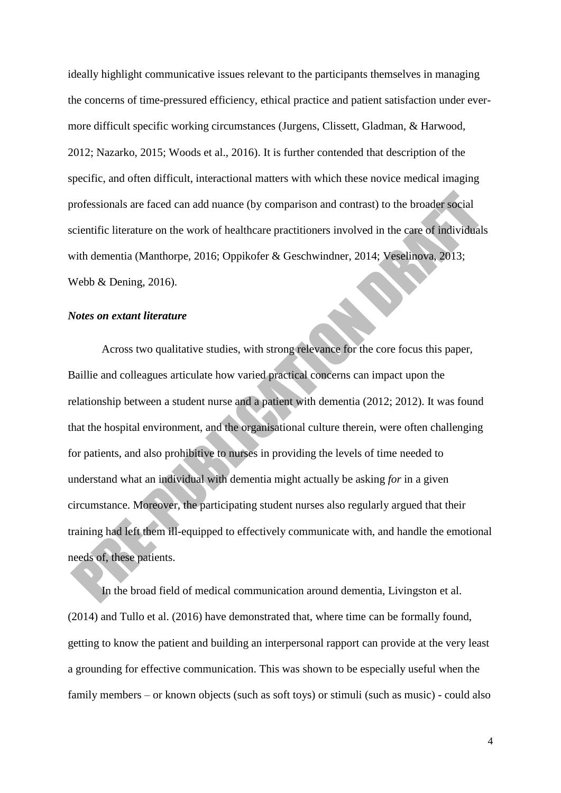ideally highlight communicative issues relevant to the participants themselves in managing the concerns of time-pressured efficiency, ethical practice and patient satisfaction under evermore difficult specific working circumstances (Jurgens, Clissett, Gladman, & Harwood, 2012; Nazarko, 2015; Woods et al., 2016). It is further contended that description of the specific, and often difficult, interactional matters with which these novice medical imaging professionals are faced can add nuance (by comparison and contrast) to the broader social scientific literature on the work of healthcare practitioners involved in the care of individuals with dementia (Manthorpe, 2016; Oppikofer & Geschwindner, 2014; Veselinova, 2013; Webb & Dening, 2016).

# *Notes on extant literature*

Across two qualitative studies, with strong relevance for the core focus this paper, Baillie and colleagues articulate how varied practical concerns can impact upon the relationship between a student nurse and a patient with dementia (2012; 2012). It was found that the hospital environment, and the organisational culture therein, were often challenging for patients, and also prohibitive to nurses in providing the levels of time needed to understand what an individual with dementia might actually be asking *for* in a given circumstance. Moreover, the participating student nurses also regularly argued that their training had left them ill-equipped to effectively communicate with, and handle the emotional needs of, these patients.

In the broad field of medical communication around dementia, Livingston et al. (2014) and Tullo et al. (2016) have demonstrated that, where time can be formally found, getting to know the patient and building an interpersonal rapport can provide at the very least a grounding for effective communication. This was shown to be especially useful when the family members – or known objects (such as soft toys) or stimuli (such as music) - could also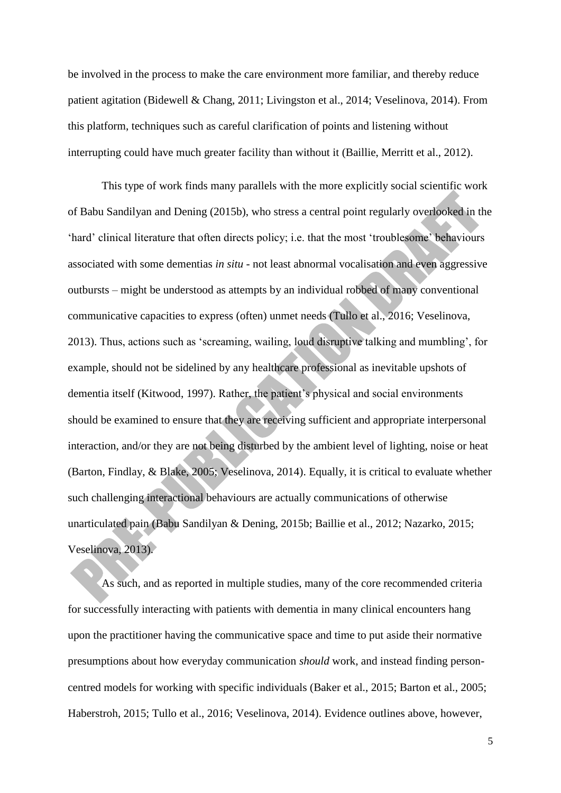be involved in the process to make the care environment more familiar, and thereby reduce patient agitation (Bidewell & Chang, 2011; Livingston et al., 2014; Veselinova, 2014). From this platform, techniques such as careful clarification of points and listening without interrupting could have much greater facility than without it (Baillie, Merritt et al., 2012).

This type of work finds many parallels with the more explicitly social scientific work of Babu Sandilyan and Dening (2015b), who stress a central point regularly overlooked in the 'hard' clinical literature that often directs policy; i.e. that the most 'troublesome' behaviours associated with some dementias *in situ* - not least abnormal vocalisation and even aggressive outbursts – might be understood as attempts by an individual robbed of many conventional communicative capacities to express (often) unmet needs (Tullo et al., 2016; Veselinova, 2013). Thus, actions such as 'screaming, wailing, loud disruptive talking and mumbling', for example, should not be sidelined by any healthcare professional as inevitable upshots of dementia itself (Kitwood, 1997). Rather, the patient's physical and social environments should be examined to ensure that they are receiving sufficient and appropriate interpersonal interaction, and/or they are not being disturbed by the ambient level of lighting, noise or heat (Barton, Findlay, & Blake, 2005; Veselinova, 2014). Equally, it is critical to evaluate whether such challenging interactional behaviours are actually communications of otherwise unarticulated pain (Babu Sandilyan & Dening, 2015b; Baillie et al., 2012; Nazarko, 2015; Veselinova, 2013).

As such, and as reported in multiple studies, many of the core recommended criteria for successfully interacting with patients with dementia in many clinical encounters hang upon the practitioner having the communicative space and time to put aside their normative presumptions about how everyday communication *should* work, and instead finding personcentred models for working with specific individuals (Baker et al., 2015; Barton et al., 2005; Haberstroh, 2015; Tullo et al., 2016; Veselinova, 2014). Evidence outlines above, however,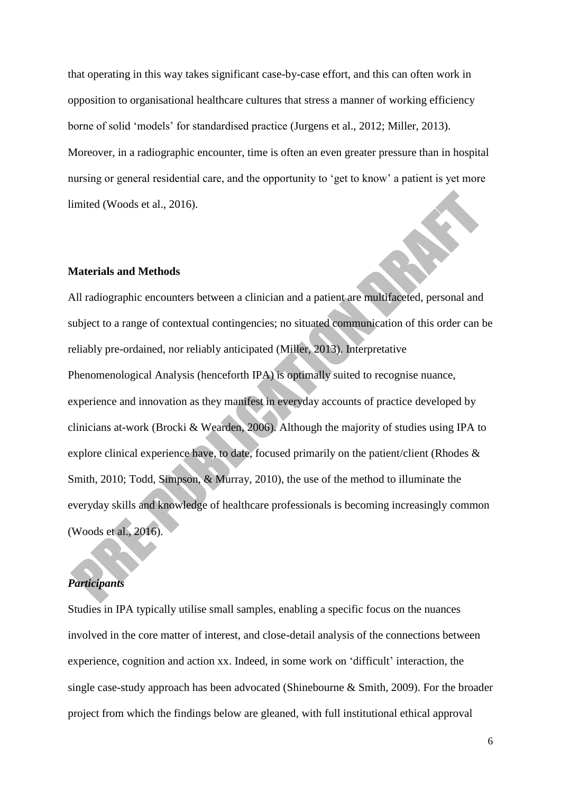that operating in this way takes significant case-by-case effort, and this can often work in opposition to organisational healthcare cultures that stress a manner of working efficiency borne of solid 'models' for standardised practice (Jurgens et al., 2012; Miller, 2013). Moreover, in a radiographic encounter, time is often an even greater pressure than in hospital nursing or general residential care, and the opportunity to 'get to know' a patient is yet more limited (Woods et al., 2016).

## **Materials and Methods**

All radiographic encounters between a clinician and a patient are multifaceted, personal and subject to a range of contextual contingencies; no situated communication of this order can be reliably pre-ordained, nor reliably anticipated (Miller, 2013). Interpretative Phenomenological Analysis (henceforth IPA) is optimally suited to recognise nuance, experience and innovation as they manifest in everyday accounts of practice developed by clinicians at-work (Brocki & Wearden, 2006). Although the majority of studies using IPA to explore clinical experience have, to date, focused primarily on the patient/client (Rhodes & Smith, 2010; Todd, Simpson, & Murray, 2010), the use of the method to illuminate the everyday skills and knowledge of healthcare professionals is becoming increasingly common (Woods et al., 2016).

# *Participants*

Studies in IPA typically utilise small samples, enabling a specific focus on the nuances involved in the core matter of interest, and close-detail analysis of the connections between experience, cognition and action xx. Indeed, in some work on 'difficult' interaction, the single case-study approach has been advocated (Shinebourne & Smith, 2009). For the broader project from which the findings below are gleaned, with full institutional ethical approval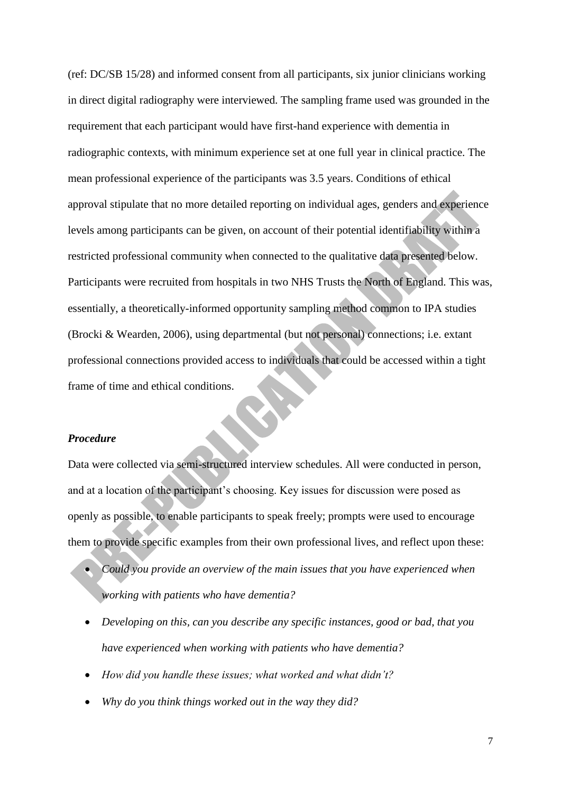(ref: DC/SB 15/28) and informed consent from all participants, six junior clinicians working in direct digital radiography were interviewed. The sampling frame used was grounded in the requirement that each participant would have first-hand experience with dementia in radiographic contexts, with minimum experience set at one full year in clinical practice. The mean professional experience of the participants was 3.5 years. Conditions of ethical approval stipulate that no more detailed reporting on individual ages, genders and experience levels among participants can be given, on account of their potential identifiability within a restricted professional community when connected to the qualitative data presented below. Participants were recruited from hospitals in two NHS Trusts the North of England. This was, essentially, a theoretically-informed opportunity sampling method common to IPA studies (Brocki & Wearden, 2006), using departmental (but not personal) connections; i.e. extant professional connections provided access to individuals that could be accessed within a tight frame of time and ethical conditions.

#### *Procedure*

Data were collected via semi-structured interview schedules. All were conducted in person, and at a location of the participant's choosing. Key issues for discussion were posed as openly as possible, to enable participants to speak freely; prompts were used to encourage them to provide specific examples from their own professional lives, and reflect upon these:

- *Could you provide an overview of the main issues that you have experienced when working with patients who have dementia?*
- *Developing on this, can you describe any specific instances, good or bad, that you have experienced when working with patients who have dementia?*
- *How did you handle these issues; what worked and what didn't?*
- *Why do you think things worked out in the way they did?*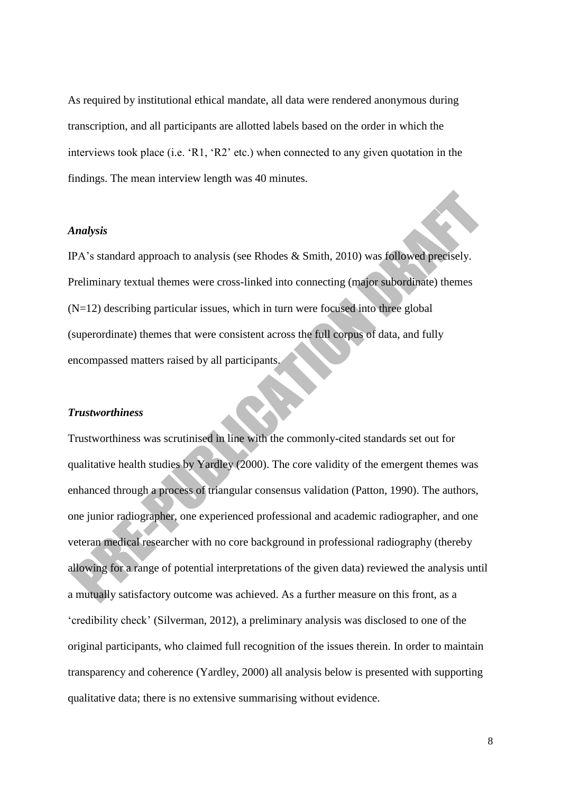As required by institutional ethical mandate, all data were rendered anonymous during transcription, and all participants are allotted labels based on the order in which the interviews took place (i.e. 'R1, 'R2' etc.) when connected to any given quotation in the findings. The mean interview length was 40 minutes.

### *Analysis*

IPA's standard approach to analysis (see Rhodes & Smith, 2010) was followed precisely. Preliminary textual themes were cross-linked into connecting (major subordinate) themes  $(N=12)$  describing particular issues, which in turn were focused into three global (superordinate) themes that were consistent across the full corpus of data, and fully encompassed matters raised by all participants.

#### *Trustworthiness*

Trustworthiness was scrutinised in line with the commonly-cited standards set out for qualitative health studies by Yardley (2000). The core validity of the emergent themes was enhanced through a process of triangular consensus validation (Patton, 1990). The authors, one junior radiographer, one experienced professional and academic radiographer, and one veteran medical researcher with no core background in professional radiography (thereby allowing for a range of potential interpretations of the given data) reviewed the analysis until a mutually satisfactory outcome was achieved. As a further measure on this front, as a 'credibility check' (Silverman, 2012), a preliminary analysis was disclosed to one of the original participants, who claimed full recognition of the issues therein. In order to maintain transparency and coherence (Yardley, 2000) all analysis below is presented with supporting qualitative data; there is no extensive summarising without evidence.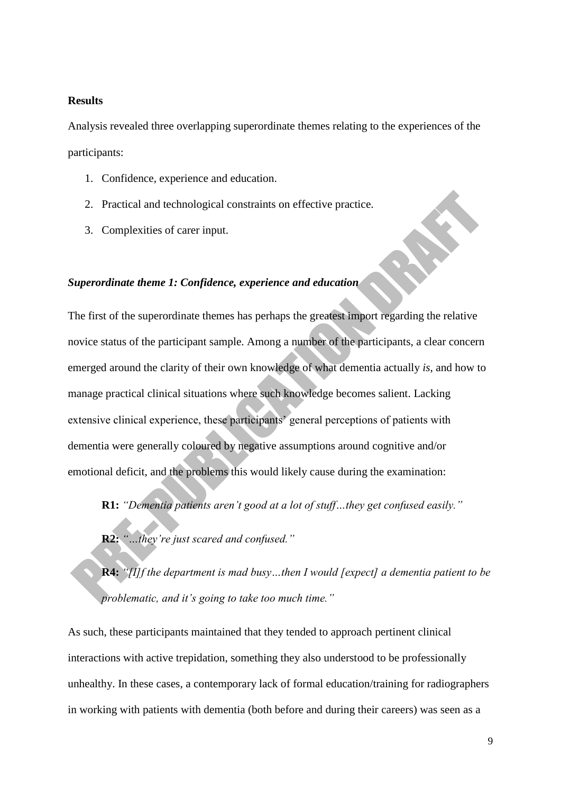# **Results**

Analysis revealed three overlapping superordinate themes relating to the experiences of the participants:

- 1. Confidence, experience and education.
- 2. Practical and technological constraints on effective practice.
- 3. Complexities of carer input.

# *Superordinate theme 1: Confidence, experience and education*

The first of the superordinate themes has perhaps the greatest import regarding the relative novice status of the participant sample. Among a number of the participants, a clear concern emerged around the clarity of their own knowledge of what dementia actually *is*, and how to manage practical clinical situations where such knowledge becomes salient. Lacking extensive clinical experience, these participants' general perceptions of patients with dementia were generally coloured by negative assumptions around cognitive and/or emotional deficit, and the problems this would likely cause during the examination:

**R1:** *"Dementia patients aren't good at a lot of stuff…they get confused easily."*

**R2:** *"…they're just scared and confused."* 

**R4:** *"[I]f the department is mad busy…then I would [expect] a dementia patient to be problematic, and it's going to take too much time."*

As such, these participants maintained that they tended to approach pertinent clinical interactions with active trepidation, something they also understood to be professionally unhealthy. In these cases, a contemporary lack of formal education/training for radiographers in working with patients with dementia (both before and during their careers) was seen as a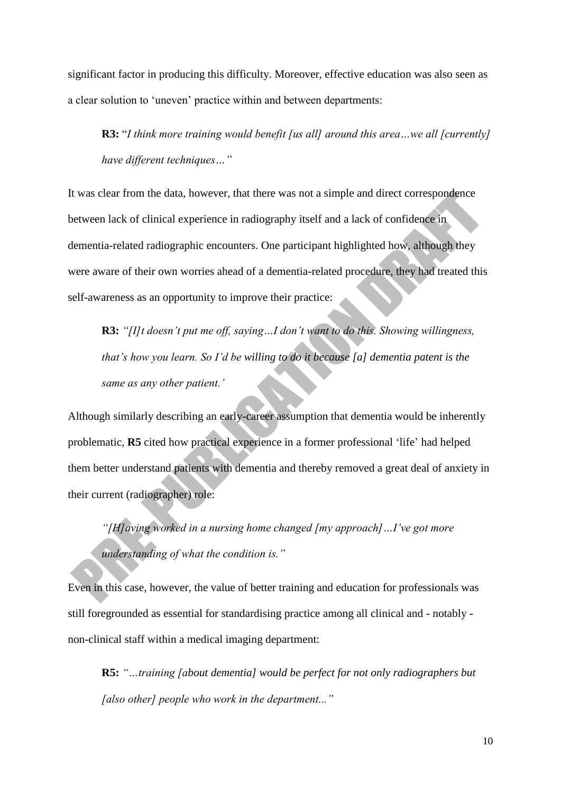significant factor in producing this difficulty. Moreover, effective education was also seen as a clear solution to 'uneven' practice within and between departments:

**R3:** "*I think more training would benefit [us all] around this area…we all [currently] have different techniques…"*

It was clear from the data, however, that there was not a simple and direct correspondence between lack of clinical experience in radiography itself and a lack of confidence in dementia-related radiographic encounters. One participant highlighted how, although they were aware of their own worries ahead of a dementia-related procedure, they had treated this self-awareness as an opportunity to improve their practice:

**R3:** *"[I]t doesn't put me off, saying…I don't want to do this. Showing willingness, that's how you learn. So I'd be willing to do it because [a] dementia patent is the same as any other patient.'*

Although similarly describing an early-career assumption that dementia would be inherently problematic, **R5** cited how practical experience in a former professional 'life' had helped them better understand patients with dementia and thereby removed a great deal of anxiety in their current (radiographer) role:

*"[H]aving worked in a nursing home changed [my approach]…I've got more understanding of what the condition is."*

Even in this case, however, the value of better training and education for professionals was still foregrounded as essential for standardising practice among all clinical and - notably non-clinical staff within a medical imaging department:

**R5:** *"…training [about dementia] would be perfect for not only radiographers but [also other] people who work in the department..."*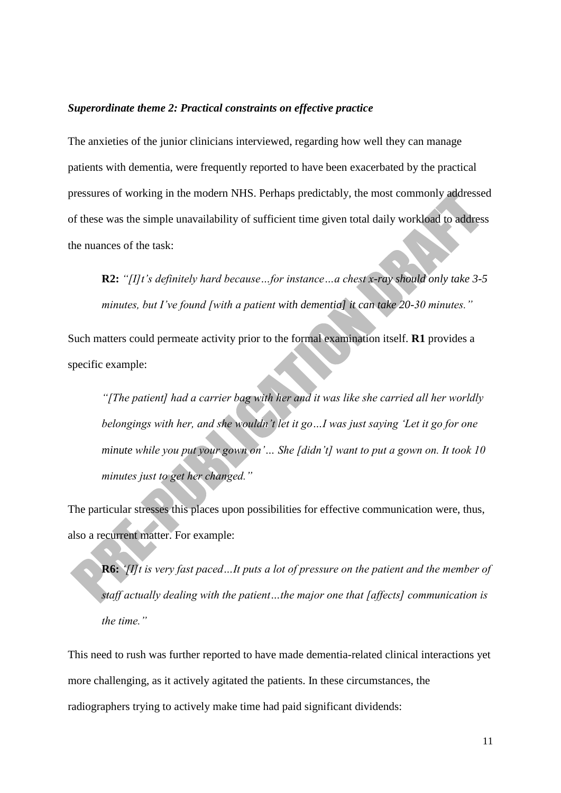#### *Superordinate theme 2: Practical constraints on effective practice*

The anxieties of the junior clinicians interviewed, regarding how well they can manage patients with dementia, were frequently reported to have been exacerbated by the practical pressures of working in the modern NHS. Perhaps predictably, the most commonly addressed of these was the simple unavailability of sufficient time given total daily workload to address the nuances of the task:

**R2:** *"[I]t's definitely hard because…for instance…a chest x-ray should only take 3-5 minutes, but I've found [with a patient with dementia] it can take 20-30 minutes."*

Such matters could permeate activity prior to the formal examination itself. **R1** provides a specific example:

*"[The patient] had a carrier bag with her and it was like she carried all her worldly belongings with her, and she wouldn't let it go…I was just saying 'Let it go for one minute while you put your gown on'… She [didn't] want to put a gown on. It took 10 minutes just to get her changed."*

The particular stresses this places upon possibilities for effective communication were, thus, also a recurrent matter. For example:

**R6:** *'[I]t is very fast paced…It puts a lot of pressure on the patient and the member of staff actually dealing with the patient…the major one that [affects] communication is the time."*

This need to rush was further reported to have made dementia-related clinical interactions yet more challenging, as it actively agitated the patients. In these circumstances, the radiographers trying to actively make time had paid significant dividends: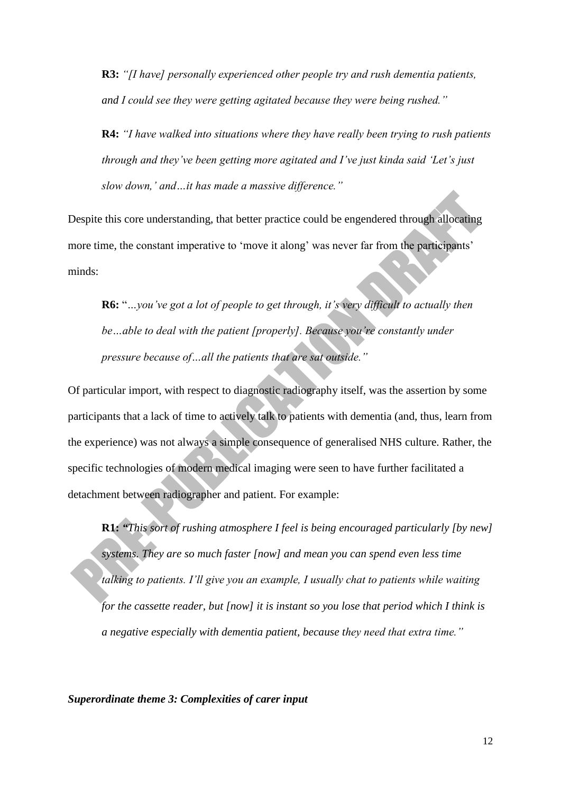**R3:** *"[I have] personally experienced other people try and rush dementia patients, and I could see they were getting agitated because they were being rushed."*

**R4:** *"I have walked into situations where they have really been trying to rush patients through and they've been getting more agitated and I've just kinda said 'Let's just slow down,' and…it has made a massive difference."*

Despite this core understanding, that better practice could be engendered through allocating more time, the constant imperative to 'move it along' was never far from the participants' minds:

**R6:** "*…you've got a lot of people to get through, it's very difficult to actually then be…able to deal with the patient [properly]. Because you're constantly under pressure because of…all the patients that are sat outside."*

Of particular import, with respect to diagnostic radiography itself, was the assertion by some participants that a lack of time to actively talk to patients with dementia (and, thus, learn from the experience) was not always a simple consequence of generalised NHS culture. Rather, the specific technologies of modern medical imaging were seen to have further facilitated a detachment between radiographer and patient. For example:

**R1:** *"This sort of rushing atmosphere I feel is being encouraged particularly [by new] systems. They are so much faster [now] and mean you can spend even less time talking to patients. I'll give you an example, I usually chat to patients while waiting for the cassette reader, but [now] it is instant so you lose that period which I think is a negative especially with dementia patient, because they need that extra time."*

*Superordinate theme 3: Complexities of carer input*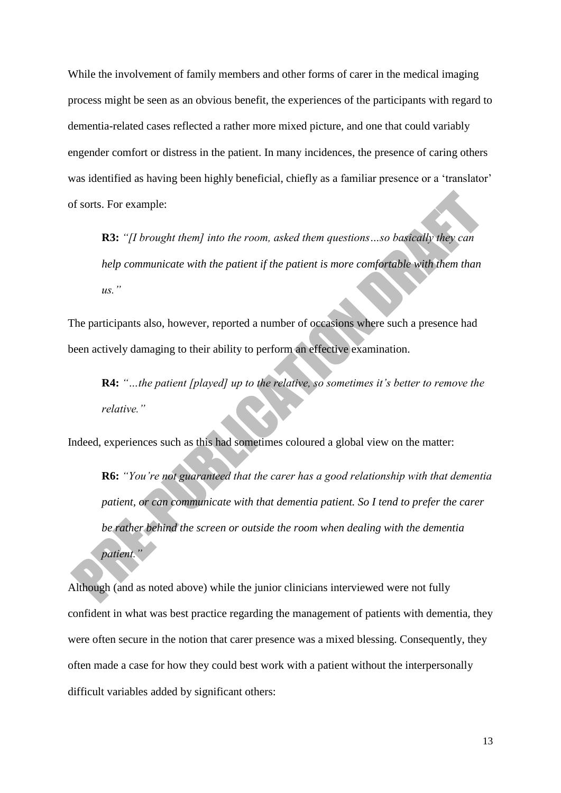While the involvement of family members and other forms of carer in the medical imaging process might be seen as an obvious benefit, the experiences of the participants with regard to dementia-related cases reflected a rather more mixed picture, and one that could variably engender comfort or distress in the patient. In many incidences, the presence of caring others was identified as having been highly beneficial, chiefly as a familiar presence or a 'translator' of sorts. For example:

**R3:** *"[I brought them] into the room, asked them questions…so basically they can help communicate with the patient if the patient is more comfortable with them than us."*

The participants also, however, reported a number of occasions where such a presence had been actively damaging to their ability to perform an effective examination.

**R4:** *"…the patient [played] up to the relative, so sometimes it's better to remove the relative."*

Indeed, experiences such as this had sometimes coloured a global view on the matter:

**R6:** *"You're not guaranteed that the carer has a good relationship with that dementia patient, or can communicate with that dementia patient. So I tend to prefer the carer be rather behind the screen or outside the room when dealing with the dementia patient."*

Although (and as noted above) while the junior clinicians interviewed were not fully confident in what was best practice regarding the management of patients with dementia, they were often secure in the notion that carer presence was a mixed blessing. Consequently, they often made a case for how they could best work with a patient without the interpersonally difficult variables added by significant others: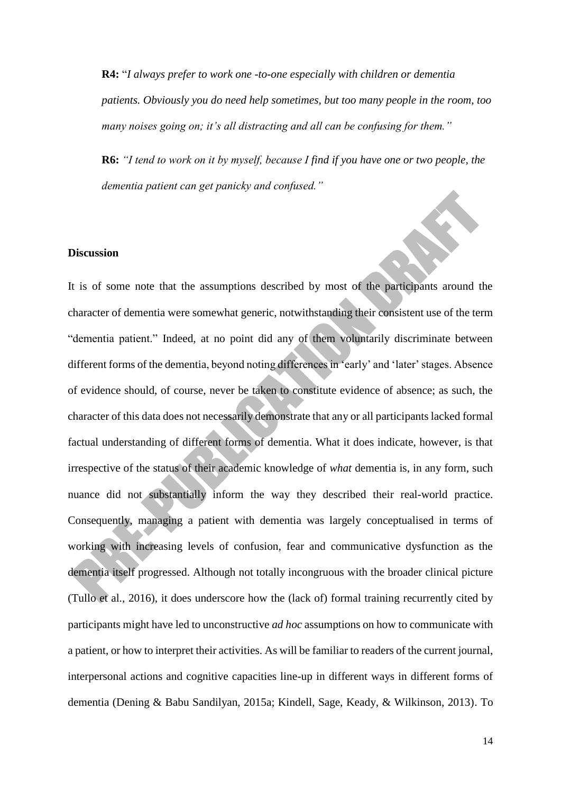**R4:** "*I always prefer to work one -to-one especially with children or dementia patients. Obviously you do need help sometimes, but too many people in the room, too many noises going on; it's all distracting and all can be confusing for them."*

**R6:** *"I tend to work on it by myself, because I find if you have one or two people, the dementia patient can get panicky and confused."*

## **Discussion**

It is of some note that the assumptions described by most of the participants around the character of dementia were somewhat generic, notwithstanding their consistent use of the term "dementia patient." Indeed, at no point did any of them voluntarily discriminate between different forms of the dementia, beyond noting differences in 'early' and 'later' stages. Absence of evidence should, of course, never be taken to constitute evidence of absence; as such, the character of this data does not necessarily demonstrate that any or all participants lacked formal factual understanding of different forms of dementia. What it does indicate, however, is that irrespective of the status of their academic knowledge of *what* dementia is, in any form, such nuance did not substantially inform the way they described their real-world practice. Consequently, managing a patient with dementia was largely conceptualised in terms of working with increasing levels of confusion, fear and communicative dysfunction as the dementia itself progressed. Although not totally incongruous with the broader clinical picture (Tullo et al., 2016), it does underscore how the (lack of) formal training recurrently cited by participants might have led to unconstructive *ad hoc* assumptions on how to communicate with a patient, or how to interpret their activities. As will be familiar to readers of the current journal, interpersonal actions and cognitive capacities line-up in different ways in different forms of dementia (Dening & Babu Sandilyan, 2015a; Kindell, Sage, Keady, & Wilkinson, 2013). To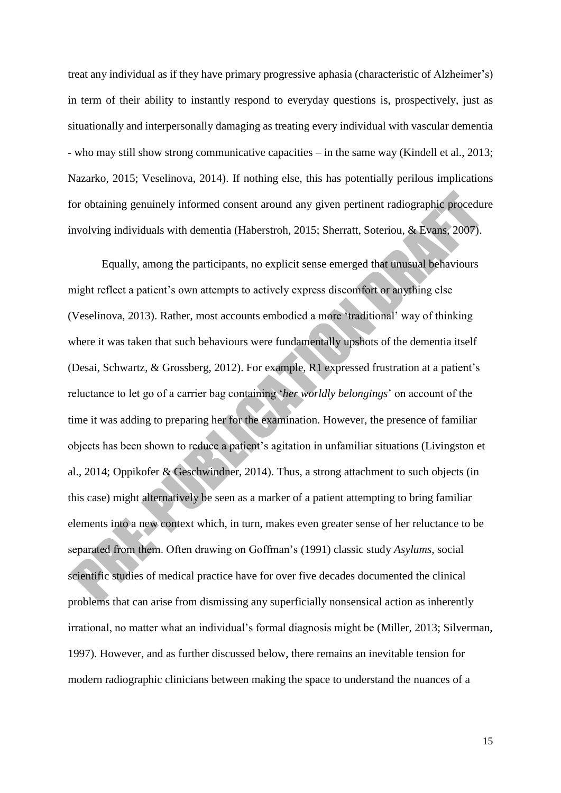treat any individual as if they have primary progressive aphasia (characteristic of Alzheimer's) in term of their ability to instantly respond to everyday questions is, prospectively, just as situationally and interpersonally damaging as treating every individual with vascular dementia - who may still show strong communicative capacities – in the same way (Kindell et al., 2013; Nazarko, 2015; Veselinova, 2014). If nothing else, this has potentially perilous implications for obtaining genuinely informed consent around any given pertinent radiographic procedure involving individuals with dementia (Haberstroh, 2015; Sherratt, Soteriou, & Evans, 2007).

Equally, among the participants, no explicit sense emerged that unusual behaviours might reflect a patient's own attempts to actively express discomfort or anything else (Veselinova, 2013). Rather, most accounts embodied a more 'traditional' way of thinking where it was taken that such behaviours were fundamentally upshots of the dementia itself (Desai, Schwartz, & Grossberg, 2012). For example, R1 expressed frustration at a patient's reluctance to let go of a carrier bag containing '*her worldly belongings*' on account of the time it was adding to preparing her for the examination. However, the presence of familiar objects has been shown to reduce a patient's agitation in unfamiliar situations (Livingston et al., 2014; Oppikofer & Geschwindner, 2014). Thus, a strong attachment to such objects (in this case) might alternatively be seen as a marker of a patient attempting to bring familiar elements into a new context which, in turn, makes even greater sense of her reluctance to be separated from them. Often drawing on Goffman's (1991) classic study *Asylums*, social scientific studies of medical practice have for over five decades documented the clinical problems that can arise from dismissing any superficially nonsensical action as inherently irrational, no matter what an individual's formal diagnosis might be (Miller, 2013; Silverman, 1997). However, and as further discussed below, there remains an inevitable tension for modern radiographic clinicians between making the space to understand the nuances of a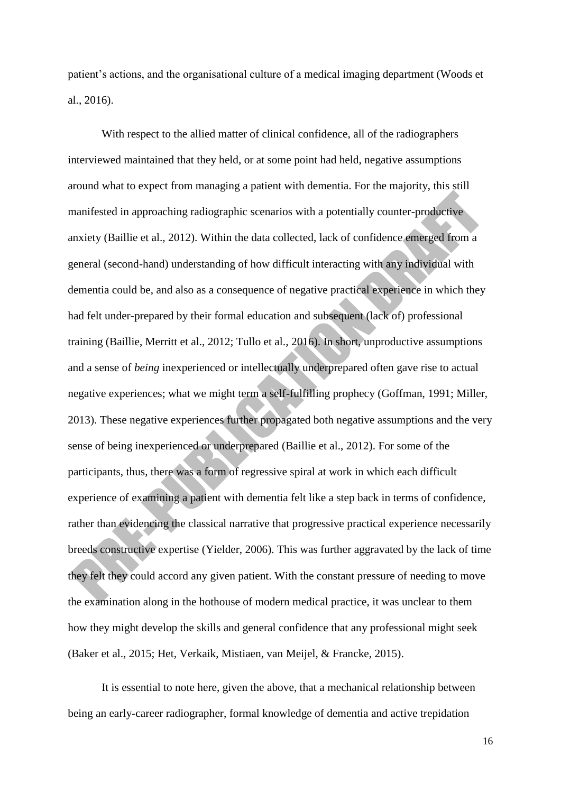patient's actions, and the organisational culture of a medical imaging department (Woods et al., 2016).

With respect to the allied matter of clinical confidence, all of the radiographers interviewed maintained that they held, or at some point had held, negative assumptions around what to expect from managing a patient with dementia. For the majority, this still manifested in approaching radiographic scenarios with a potentially counter-productive anxiety (Baillie et al., 2012). Within the data collected, lack of confidence emerged from a general (second-hand) understanding of how difficult interacting with any individual with dementia could be, and also as a consequence of negative practical experience in which they had felt under-prepared by their formal education and subsequent (lack of) professional training (Baillie, Merritt et al., 2012; Tullo et al., 2016). In short, unproductive assumptions and a sense of *being* inexperienced or intellectually underprepared often gave rise to actual negative experiences; what we might term a self-fulfilling prophecy (Goffman, 1991; Miller, 2013). These negative experiences further propagated both negative assumptions and the very sense of being inexperienced or underprepared (Baillie et al., 2012). For some of the participants, thus, there was a form of regressive spiral at work in which each difficult experience of examining a patient with dementia felt like a step back in terms of confidence, rather than evidencing the classical narrative that progressive practical experience necessarily breeds constructive expertise (Yielder, 2006). This was further aggravated by the lack of time they felt they could accord any given patient. With the constant pressure of needing to move the examination along in the hothouse of modern medical practice, it was unclear to them how they might develop the skills and general confidence that any professional might seek (Baker et al., 2015; Het, Verkaik, Mistiaen, van Meijel, & Francke, 2015).

It is essential to note here, given the above, that a mechanical relationship between being an early-career radiographer, formal knowledge of dementia and active trepidation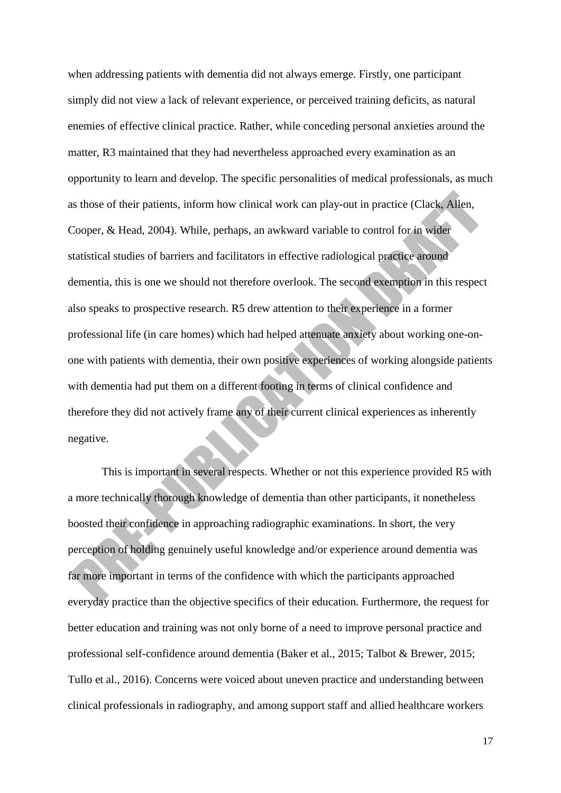when addressing patients with dementia did not always emerge. Firstly, one participant simply did not view a lack of relevant experience, or perceived training deficits, as natural enemies of effective clinical practice. Rather, while conceding personal anxieties around the matter, R3 maintained that they had nevertheless approached every examination as an opportunity to learn and develop. The specific personalities of medical professionals, as much as those of their patients, inform how clinical work can play-out in practice (Clack, Allen, Cooper, & Head, 2004). While, perhaps, an awkward variable to control for in wider statistical studies of barriers and facilitators in effective radiological practice around dementia, this is one we should not therefore overlook. The second exemption in this respect also speaks to prospective research. R5 drew attention to their experience in a former professional life (in care homes) which had helped attenuate anxiety about working one-onone with patients with dementia, their own positive experiences of working alongside patients with dementia had put them on a different footing in terms of clinical confidence and therefore they did not actively frame any of their current clinical experiences as inherently negative.

This is important in several respects. Whether or not this experience provided R5 with a more technically thorough knowledge of dementia than other participants, it nonetheless boosted their confidence in approaching radiographic examinations. In short, the very perception of holding genuinely useful knowledge and/or experience around dementia was far more important in terms of the confidence with which the participants approached everyday practice than the objective specifics of their education. Furthermore, the request for better education and training was not only borne of a need to improve personal practice and professional self-confidence around dementia (Baker et al., 2015; Talbot & Brewer, 2015; Tullo et al., 2016). Concerns were voiced about uneven practice and understanding between clinical professionals in radiography, and among support staff and allied healthcare workers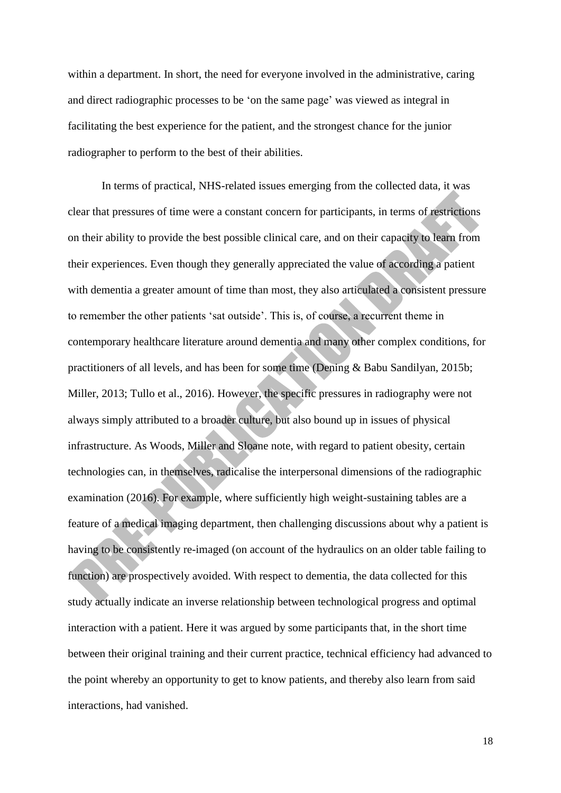within a department. In short, the need for everyone involved in the administrative, caring and direct radiographic processes to be 'on the same page' was viewed as integral in facilitating the best experience for the patient, and the strongest chance for the junior radiographer to perform to the best of their abilities.

In terms of practical, NHS-related issues emerging from the collected data, it was clear that pressures of time were a constant concern for participants, in terms of restrictions on their ability to provide the best possible clinical care, and on their capacity to learn from their experiences. Even though they generally appreciated the value of according a patient with dementia a greater amount of time than most, they also articulated a consistent pressure to remember the other patients 'sat outside'. This is, of course, a recurrent theme in contemporary healthcare literature around dementia and many other complex conditions, for practitioners of all levels, and has been for some time (Dening & Babu Sandilyan, 2015b; Miller, 2013; Tullo et al., 2016). However, the specific pressures in radiography were not always simply attributed to a broader culture, but also bound up in issues of physical infrastructure. As Woods, Miller and Sloane note, with regard to patient obesity, certain technologies can, in themselves, radicalise the interpersonal dimensions of the radiographic examination (2016). For example, where sufficiently high weight-sustaining tables are a feature of a medical imaging department, then challenging discussions about why a patient is having to be consistently re-imaged (on account of the hydraulics on an older table failing to function) are prospectively avoided. With respect to dementia, the data collected for this study actually indicate an inverse relationship between technological progress and optimal interaction with a patient. Here it was argued by some participants that, in the short time between their original training and their current practice, technical efficiency had advanced to the point whereby an opportunity to get to know patients, and thereby also learn from said interactions, had vanished.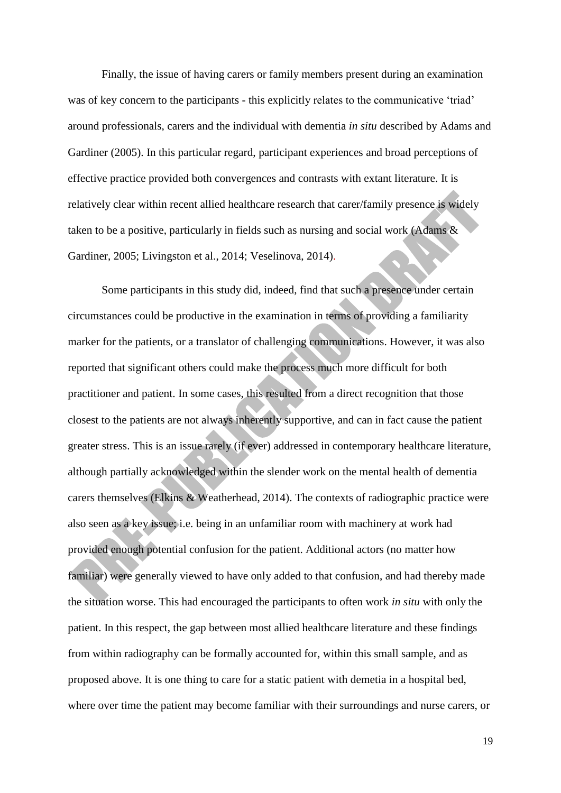Finally, the issue of having carers or family members present during an examination was of key concern to the participants - this explicitly relates to the communicative 'triad' around professionals, carers and the individual with dementia *in situ* described by Adams and Gardiner (2005). In this particular regard, participant experiences and broad perceptions of effective practice provided both convergences and contrasts with extant literature. It is relatively clear within recent allied healthcare research that carer/family presence is widely taken to be a positive, particularly in fields such as nursing and social work (Adams & Gardiner, 2005; Livingston et al., 2014; Veselinova, 2014).

Some participants in this study did, indeed, find that such a presence under certain circumstances could be productive in the examination in terms of providing a familiarity marker for the patients, or a translator of challenging communications. However, it was also reported that significant others could make the process much more difficult for both practitioner and patient. In some cases, this resulted from a direct recognition that those closest to the patients are not always inherently supportive, and can in fact cause the patient greater stress. This is an issue rarely (if ever) addressed in contemporary healthcare literature, although partially acknowledged within the slender work on the mental health of dementia carers themselves (Elkins & Weatherhead, 2014). The contexts of radiographic practice were also seen as a key issue; i.e. being in an unfamiliar room with machinery at work had provided enough potential confusion for the patient. Additional actors (no matter how familiar) were generally viewed to have only added to that confusion, and had thereby made the situation worse. This had encouraged the participants to often work *in situ* with only the patient. In this respect, the gap between most allied healthcare literature and these findings from within radiography can be formally accounted for, within this small sample, and as proposed above. It is one thing to care for a static patient with demetia in a hospital bed, where over time the patient may become familiar with their surroundings and nurse carers, or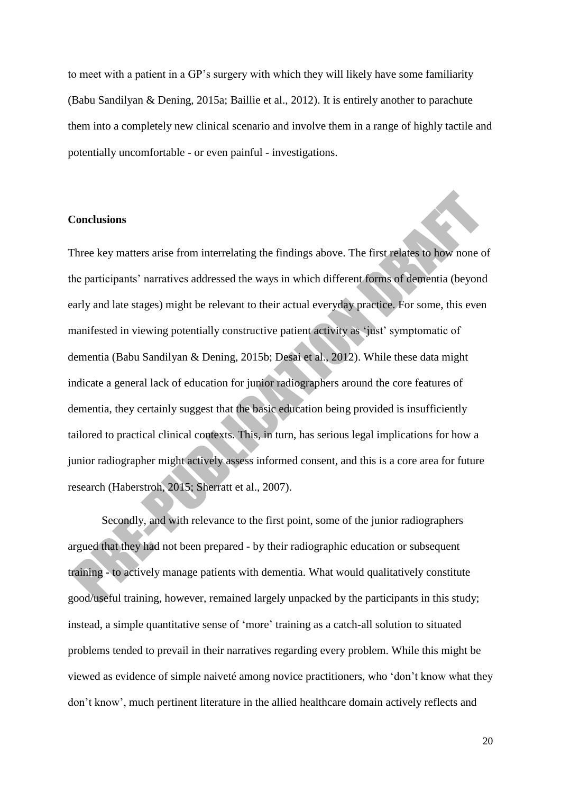to meet with a patient in a GP's surgery with which they will likely have some familiarity (Babu Sandilyan & Dening, 2015a; Baillie et al., 2012). It is entirely another to parachute them into a completely new clinical scenario and involve them in a range of highly tactile and potentially uncomfortable - or even painful - investigations.

## **Conclusions**

Three key matters arise from interrelating the findings above. The first relates to how none of the participants' narratives addressed the ways in which different forms of dementia (beyond early and late stages) might be relevant to their actual everyday practice. For some, this even manifested in viewing potentially constructive patient activity as 'just' symptomatic of dementia (Babu Sandilyan & Dening, 2015b; Desai et al., 2012). While these data might indicate a general lack of education for junior radiographers around the core features of dementia, they certainly suggest that the basic education being provided is insufficiently tailored to practical clinical contexts. This, in turn, has serious legal implications for how a junior radiographer might actively assess informed consent, and this is a core area for future research (Haberstroh, 2015; Sherratt et al., 2007).

Secondly, and with relevance to the first point, some of the junior radiographers argued that they had not been prepared - by their radiographic education or subsequent training - to actively manage patients with dementia. What would qualitatively constitute good/useful training, however, remained largely unpacked by the participants in this study; instead, a simple quantitative sense of 'more' training as a catch-all solution to situated problems tended to prevail in their narratives regarding every problem. While this might be viewed as evidence of simple naiveté among novice practitioners, who 'don't know what they don't know', much pertinent literature in the allied healthcare domain actively reflects and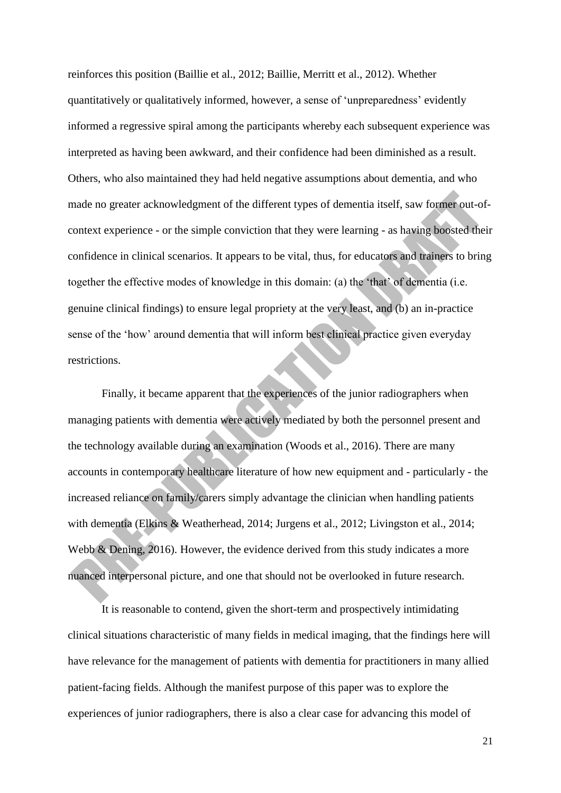reinforces this position (Baillie et al., 2012; Baillie, Merritt et al., 2012). Whether quantitatively or qualitatively informed, however, a sense of 'unpreparedness' evidently informed a regressive spiral among the participants whereby each subsequent experience was interpreted as having been awkward, and their confidence had been diminished as a result. Others, who also maintained they had held negative assumptions about dementia, and who made no greater acknowledgment of the different types of dementia itself, saw former out-ofcontext experience - or the simple conviction that they were learning - as having boosted their confidence in clinical scenarios. It appears to be vital, thus, for educators and trainers to bring together the effective modes of knowledge in this domain: (a) the 'that' of dementia (i.e. genuine clinical findings) to ensure legal propriety at the very least, and (b) an in-practice sense of the 'how' around dementia that will inform best clinical practice given everyday restrictions.

Finally, it became apparent that the experiences of the junior radiographers when managing patients with dementia were actively mediated by both the personnel present and the technology available during an examination (Woods et al., 2016). There are many accounts in contemporary healthcare literature of how new equipment and - particularly - the increased reliance on family/carers simply advantage the clinician when handling patients with dementia (Elkins & Weatherhead, 2014; Jurgens et al., 2012; Livingston et al., 2014; Webb & Dening, 2016). However, the evidence derived from this study indicates a more nuanced interpersonal picture, and one that should not be overlooked in future research.

It is reasonable to contend, given the short-term and prospectively intimidating clinical situations characteristic of many fields in medical imaging, that the findings here will have relevance for the management of patients with dementia for practitioners in many allied patient-facing fields. Although the manifest purpose of this paper was to explore the experiences of junior radiographers, there is also a clear case for advancing this model of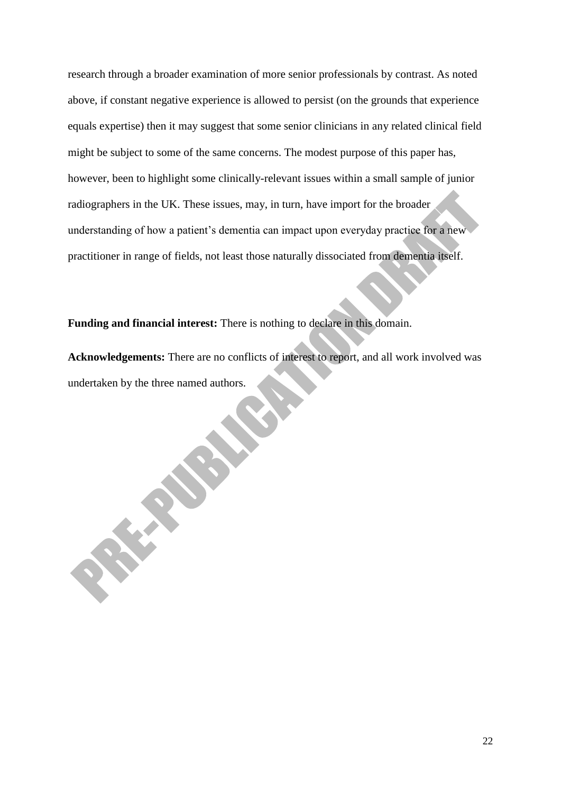research through a broader examination of more senior professionals by contrast. As noted above, if constant negative experience is allowed to persist (on the grounds that experience equals expertise) then it may suggest that some senior clinicians in any related clinical field might be subject to some of the same concerns. The modest purpose of this paper has, however, been to highlight some clinically-relevant issues within a small sample of junior radiographers in the UK. These issues, may, in turn, have import for the broader understanding of how a patient's dementia can impact upon everyday practice for a new practitioner in range of fields, not least those naturally dissociated from dementia itself.

**Funding and financial interest:** There is nothing to declare in this domain.

**Acknowledgements:** There are no conflicts of interest to report, and all work involved was undertaken by the three named authors.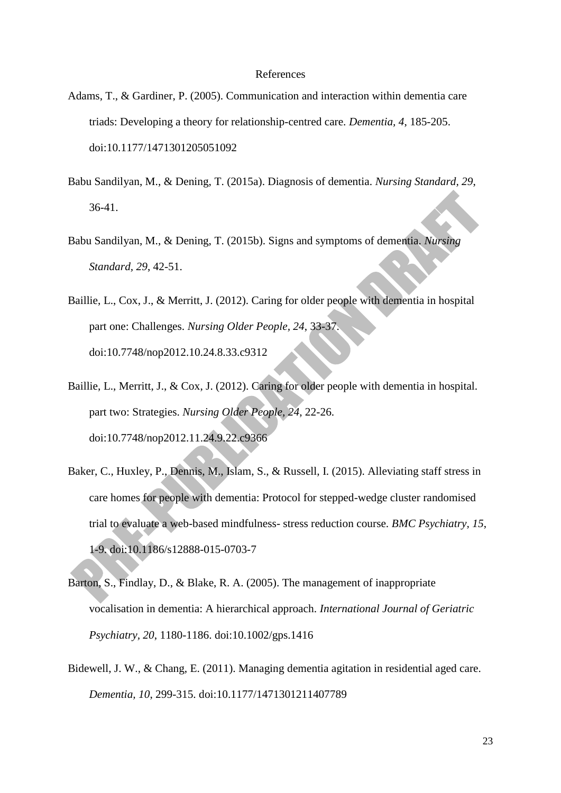#### References

- Adams, T., & Gardiner, P. (2005). Communication and interaction within dementia care triads: Developing a theory for relationship-centred care. *Dementia, 4*, 185-205. doi:10.1177/1471301205051092
- Babu Sandilyan, M., & Dening, T. (2015a). Diagnosis of dementia. *Nursing Standard, 29*, 36-41.
- Babu Sandilyan, M., & Dening, T. (2015b). Signs and symptoms of dementia. *Nursing Standard, 29*, 42-51.
- Baillie, L., Cox, J., & Merritt, J. (2012). Caring for older people with dementia in hospital part one: Challenges. *Nursing Older People, 24*, 33-37. doi:10.7748/nop2012.10.24.8.33.c9312
- Baillie, L., Merritt, J., & Cox, J. (2012). Caring for older people with dementia in hospital. part two: Strategies. *Nursing Older People, 24*, 22-26. doi:10.7748/nop2012.11.24.9.22.c9366
- Baker, C., Huxley, P., Dennis, M., Islam, S., & Russell, I. (2015). Alleviating staff stress in care homes for people with dementia: Protocol for stepped-wedge cluster randomised trial to evaluate a web-based mindfulness- stress reduction course. *BMC Psychiatry, 15*, 1-9. doi:10.1186/s12888-015-0703-7
- Barton, S., Findlay, D., & Blake, R. A. (2005). The management of inappropriate vocalisation in dementia: A hierarchical approach. *International Journal of Geriatric Psychiatry, 20*, 1180-1186. doi:10.1002/gps.1416
- Bidewell, J. W., & Chang, E. (2011). Managing dementia agitation in residential aged care. *Dementia, 10*, 299-315. doi:10.1177/1471301211407789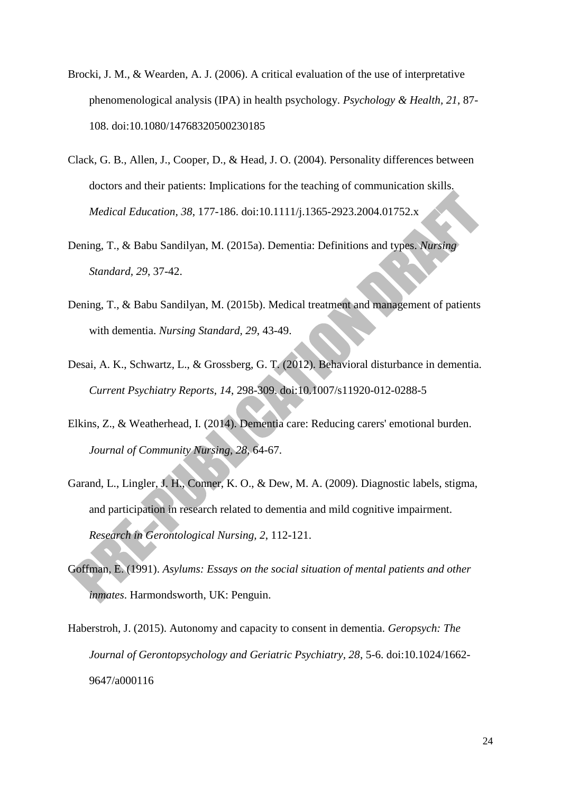- Brocki, J. M., & Wearden, A. J. (2006). A critical evaluation of the use of interpretative phenomenological analysis (IPA) in health psychology. *Psychology & Health, 21*, 87- 108. doi:10.1080/14768320500230185
- Clack, G. B., Allen, J., Cooper, D., & Head, J. O. (2004). Personality differences between doctors and their patients: Implications for the teaching of communication skills. *Medical Education, 38*, 177-186. doi:10.1111/j.1365-2923.2004.01752.x
- Dening, T., & Babu Sandilyan, M. (2015a). Dementia: Definitions and types. *Nursing Standard, 29*, 37-42.
- Dening, T., & Babu Sandilyan, M. (2015b). Medical treatment and management of patients with dementia. *Nursing Standard, 29*, 43-49.
- Desai, A. K., Schwartz, L., & Grossberg, G. T. (2012). Behavioral disturbance in dementia. *Current Psychiatry Reports, 14*, 298-309. doi:10.1007/s11920-012-0288-5
- Elkins, Z., & Weatherhead, I. (2014). Dementia care: Reducing carers' emotional burden. *Journal of Community Nursing, 28*, 64-67.
- Garand, L., Lingler, J. H., Conner, K. O., & Dew, M. A. (2009). Diagnostic labels, stigma, and participation in research related to dementia and mild cognitive impairment. *Research in Gerontological Nursing, 2*, 112-121.
- Goffman, E. (1991). *Asylums: Essays on the social situation of mental patients and other inmates*. Harmondsworth, UK: Penguin.
- Haberstroh, J. (2015). Autonomy and capacity to consent in dementia. *Geropsych: The Journal of Gerontopsychology and Geriatric Psychiatry, 28*, 5-6. doi:10.1024/1662- 9647/a000116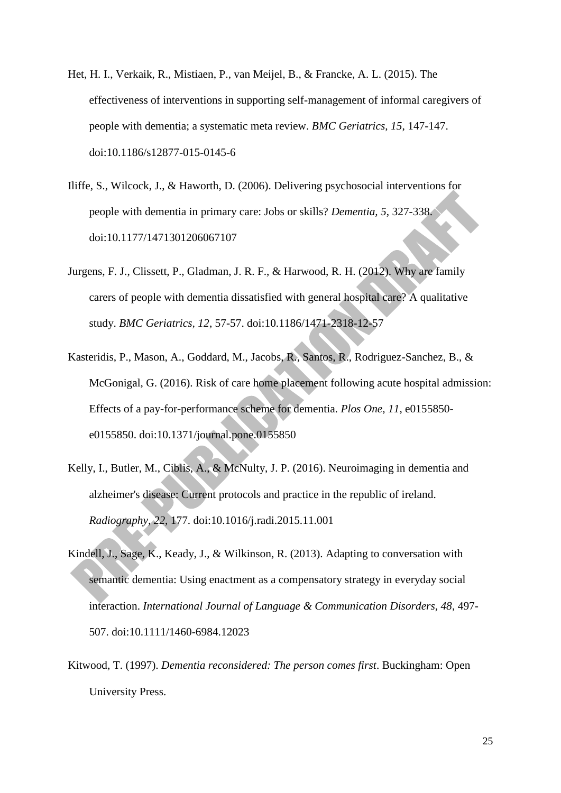- Het, H. I., Verkaik, R., Mistiaen, P., van Meijel, B., & Francke, A. L. (2015). The effectiveness of interventions in supporting self-management of informal caregivers of people with dementia; a systematic meta review. *BMC Geriatrics, 15*, 147-147. doi:10.1186/s12877-015-0145-6
- Iliffe, S., Wilcock, J., & Haworth, D. (2006). Delivering psychosocial interventions for people with dementia in primary care: Jobs or skills? *Dementia, 5*, 327-338. doi:10.1177/1471301206067107
- Jurgens, F. J., Clissett, P., Gladman, J. R. F., & Harwood, R. H. (2012). Why are family carers of people with dementia dissatisfied with general hospital care? A qualitative study. *BMC Geriatrics, 12*, 57-57. doi:10.1186/1471-2318-12-57
- Kasteridis, P., Mason, A., Goddard, M., Jacobs, R., Santos, R., Rodriguez-Sanchez, B., & McGonigal, G. (2016). Risk of care home placement following acute hospital admission: Effects of a pay-for-performance scheme for dementia. *Plos One, 11*, e0155850 e0155850. doi:10.1371/journal.pone.0155850
- Kelly, I., Butler, M., Ciblis, A., & McNulty, J. P. (2016). Neuroimaging in dementia and alzheimer's disease: Current protocols and practice in the republic of ireland. *Radiography, 22*, 177. doi:10.1016/j.radi.2015.11.001
- Kindell, J., Sage, K., Keady, J., & Wilkinson, R. (2013). Adapting to conversation with semantic dementia: Using enactment as a compensatory strategy in everyday social interaction. *International Journal of Language & Communication Disorders, 48*, 497- 507. doi:10.1111/1460-6984.12023
- Kitwood, T. (1997). *Dementia reconsidered: The person comes first*. Buckingham: Open University Press.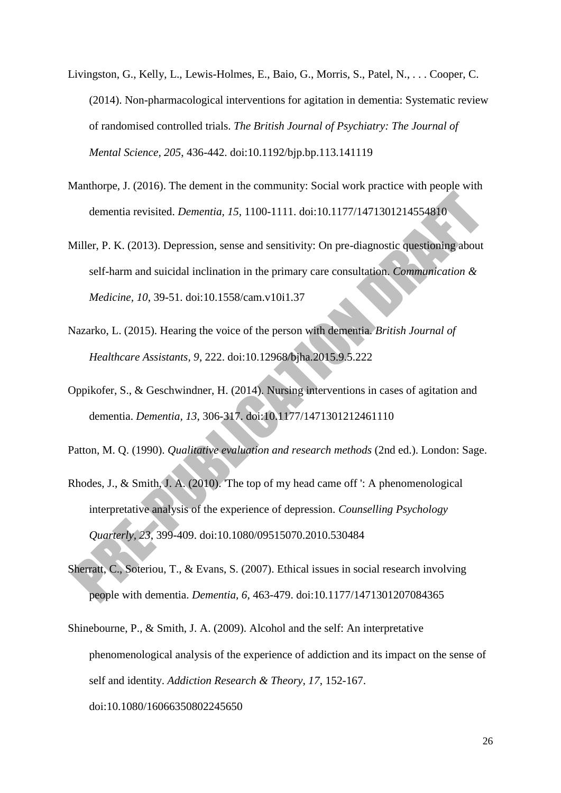- Livingston, G., Kelly, L., Lewis-Holmes, E., Baio, G., Morris, S., Patel, N., . . . Cooper, C. (2014). Non-pharmacological interventions for agitation in dementia: Systematic review of randomised controlled trials. *The British Journal of Psychiatry: The Journal of Mental Science, 205*, 436-442. doi:10.1192/bjp.bp.113.141119
- Manthorpe, J. (2016). The dement in the community: Social work practice with people with dementia revisited. *Dementia, 15*, 1100-1111. doi:10.1177/1471301214554810
- Miller, P. K. (2013). Depression, sense and sensitivity: On pre-diagnostic questioning about self-harm and suicidal inclination in the primary care consultation. *Communication & Medicine, 10*, 39-51. doi:10.1558/cam.v10i1.37
- Nazarko, L. (2015). Hearing the voice of the person with dementia. *British Journal of Healthcare Assistants, 9*, 222. doi:10.12968/bjha.2015.9.5.222
- Oppikofer, S., & Geschwindner, H. (2014). Nursing interventions in cases of agitation and dementia. *Dementia, 13*, 306-317. doi:10.1177/1471301212461110
- Patton, M. Q. (1990). *Qualitative evaluation and research methods* (2nd ed.). London: Sage.
- Rhodes, J., & Smith, J. A. (2010). 'The top of my head came off ': A phenomenological interpretative analysis of the experience of depression. *Counselling Psychology Quarterly, 23*, 399-409. doi:10.1080/09515070.2010.530484
- Sherratt, C., Soteriou, T., & Evans, S. (2007). Ethical issues in social research involving people with dementia. *Dementia, 6*, 463-479. doi:10.1177/1471301207084365
- Shinebourne, P., & Smith, J. A. (2009). Alcohol and the self: An interpretative phenomenological analysis of the experience of addiction and its impact on the sense of self and identity. *Addiction Research & Theory, 17*, 152-167. doi:10.1080/16066350802245650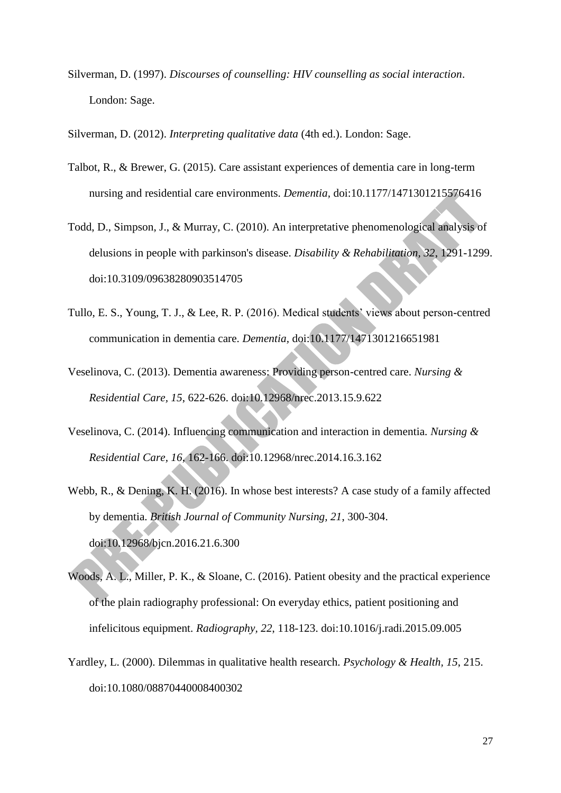Silverman, D. (1997). *Discourses of counselling: HIV counselling as social interaction*. London: Sage.

Silverman, D. (2012). *Interpreting qualitative data* (4th ed.). London: Sage.

- Talbot, R., & Brewer, G. (2015). Care assistant experiences of dementia care in long-term nursing and residential care environments. *Dementia,* doi:10.1177/1471301215576416
- Todd, D., Simpson, J., & Murray, C. (2010). An interpretative phenomenological analysis of delusions in people with parkinson's disease. *Disability & Rehabilitation, 32*, 1291-1299. doi:10.3109/09638280903514705
- Tullo, E. S., Young, T. J., & Lee, R. P. (2016). Medical students' views about person-centred communication in dementia care. *Dementia,* doi:10.1177/1471301216651981
- Veselinova, C. (2013). Dementia awareness: Providing person-centred care. *Nursing & Residential Care, 15*, 622-626. doi:10.12968/nrec.2013.15.9.622
- Veselinova, C. (2014). Influencing communication and interaction in dementia. *Nursing & Residential Care, 16*, 162-166. doi:10.12968/nrec.2014.16.3.162
- Webb, R., & Dening, K. H. (2016). In whose best interests? A case study of a family affected by dementia. *British Journal of Community Nursing, 21*, 300-304. doi:10.12968/bjcn.2016.21.6.300
- Woods, A. L., Miller, P. K., & Sloane, C. (2016). Patient obesity and the practical experience of the plain radiography professional: On everyday ethics, patient positioning and infelicitous equipment. *Radiography, 22*, 118-123. doi:10.1016/j.radi.2015.09.005
- Yardley, L. (2000). Dilemmas in qualitative health research. *Psychology & Health, 15*, 215. doi:10.1080/08870440008400302